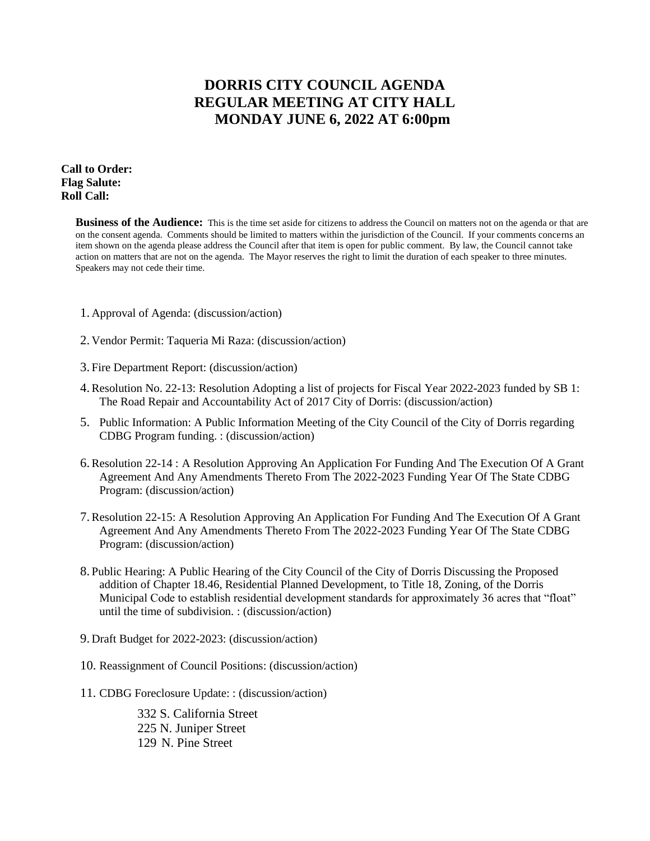# **DORRIS CITY COUNCIL AGENDA REGULAR MEETING AT CITY HALL MONDAY JUNE 6, 2022 AT 6:00pm**

## **Call to Order: Flag Salute: Roll Call:**

**Business of the Audience:** This is the time set aside for citizens to address the Council on matters not on the agenda or that are on the consent agenda. Comments should be limited to matters within the jurisdiction of the Council. If your comments concerns an item shown on the agenda please address the Council after that item is open for public comment. By law, the Council cannot take action on matters that are not on the agenda. The Mayor reserves the right to limit the duration of each speaker to three minutes. Speakers may not cede their time.

- 1. Approval of Agenda: (discussion/action)
- 2. Vendor Permit: Taqueria Mi Raza: (discussion/action)
- 3. Fire Department Report: (discussion/action)
- 4.Resolution No. 22-13: Resolution Adopting a list of projects for Fiscal Year 2022-2023 funded by SB 1: The Road Repair and Accountability Act of 2017 City of Dorris: (discussion/action)
- 5. Public Information: A Public Information Meeting of the City Council of the City of Dorris regarding CDBG Program funding. : (discussion/action)
- 6.Resolution 22-14 : A Resolution Approving An Application For Funding And The Execution Of A Grant Agreement And Any Amendments Thereto From The 2022-2023 Funding Year Of The State CDBG Program: (discussion/action)
- 7.Resolution 22-15: A Resolution Approving An Application For Funding And The Execution Of A Grant Agreement And Any Amendments Thereto From The 2022-2023 Funding Year Of The State CDBG Program: (discussion/action)
- 8. Public Hearing: A Public Hearing of the City Council of the City of Dorris Discussing the Proposed addition of Chapter 18.46, Residential Planned Development, to Title 18, Zoning, of the Dorris Municipal Code to establish residential development standards for approximately 36 acres that "float" until the time of subdivision. : (discussion/action)
- 9. Draft Budget for 2022-2023: (discussion/action)
- 10. Reassignment of Council Positions: (discussion/action)
- 11. CDBG Foreclosure Update: : (discussion/action)

332 S. California Street 225 N. Juniper Street 129 N. Pine Street